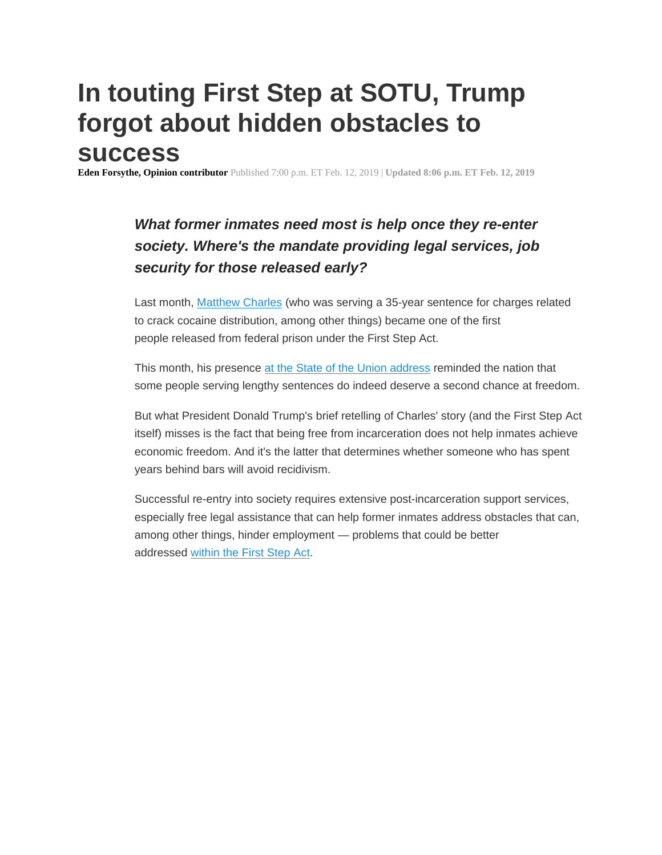## **In touting First Step at SOTU, Trump forgot about hidden obstacles to success**

**Eden Forsythe, Opinion contributor** Published 7:00 p.m. ET Feb. 12, 2019 | **Updated 8:06 p.m. ET Feb. 12, 2019** 

## *What former inmates need most is help once they re-enter society. Where's the mandate providing legal services, job security for those released early?*

Last month, Matthew Charles (who was serving a 35-year sentence for charges related to crack cocaine distribution, among other things) became one of the first people released from federal prison under the First Step Act.

This month, his presence at the State of the Union address reminded the nation that some people serving lengthy sentences do indeed deserve a second chance at freedom.

But what President Donald Trump's brief retelling of Charles' story (and the First Step Act itself) misses is the fact that being free from incarceration does not help inmates achieve economic freedom. And it's the latter that determines whether someone who has spent years behind bars will avoid recidivism.

Successful re-entry into society requires extensive post-incarceration support services, especially free legal assistance that can help former inmates address obstacles that can, among other things, hinder employment — problems that could be better addressed within the First Step Act.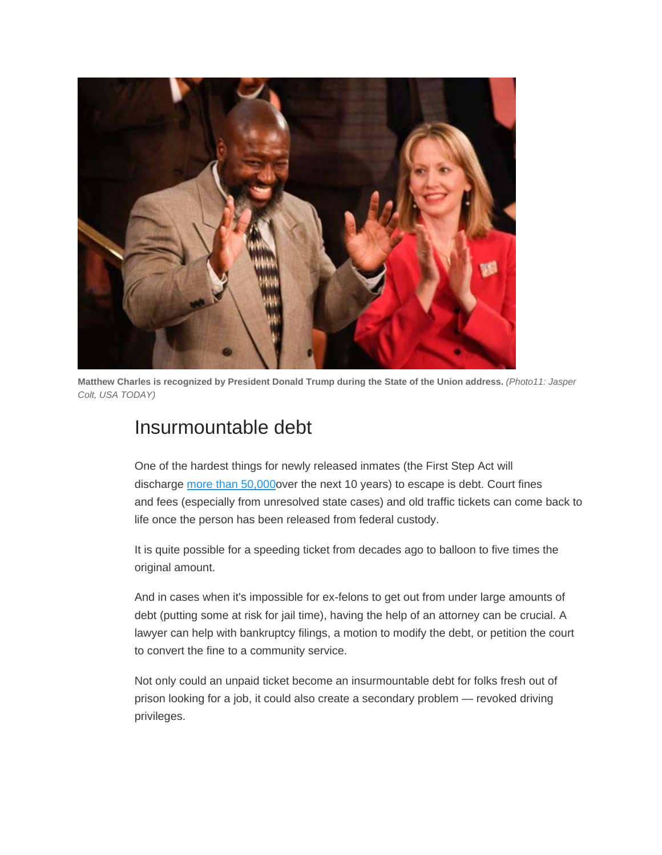

**Matthew Charles is recognized by President Donald Trump during the State of the Union address.** *(Photo11: Jasper Colt, USA TODAY)*

## Insurmountable debt

One of the hardest things for newly released inmates (the First Step Act will discharge more than 50,000 over the next 10 years) to escape is debt. Court fines and fees (especially from unresolved state cases) and old traffic tickets can come back to life once the person has been released from federal custody.

It is quite possible for a speeding ticket from decades ago to balloon to five times the original amount.

And in cases when it's impossible for ex-felons to get out from under large amounts of debt (putting some at risk for jail time), having the help of an attorney can be crucial. A lawyer can help with bankruptcy filings, a motion to modify the debt, or petition the court to convert the fine to a community service.

Not only could an unpaid ticket become an insurmountable debt for folks fresh out of prison looking for a job, it could also create a secondary problem — revoked driving privileges.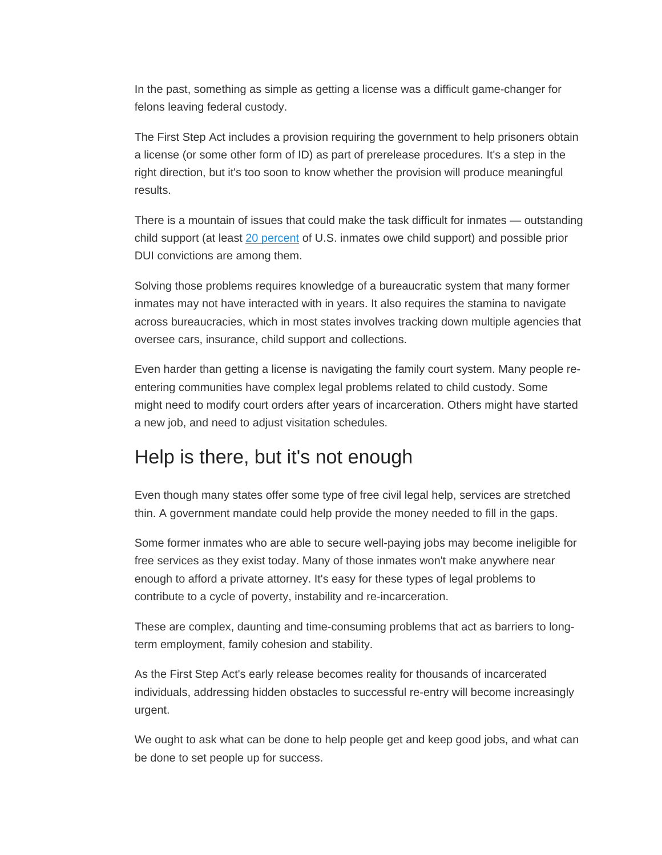In the past, something as simple as getting a license was a difficult game-changer for felons leaving federal custody.

The First Step Act includes a provision requiring the government to help prisoners obtain a license (or some other form of ID) as part of prerelease procedures. It's a step in the right direction, but it's too soon to know whether the provision will produce meaningful results.

There is a mountain of issues that could make the task difficult for inmates — outstanding child support (at least 20 percent of U.S. inmates owe child support) and possible prior DUI convictions are among them.

Solving those problems requires knowledge of a bureaucratic system that many former inmates may not have interacted with in years. It also requires the stamina to navigate across bureaucracies, which in most states involves tracking down multiple agencies that oversee cars, insurance, child support and collections.

Even harder than getting a license is navigating the family court system. Many people reentering communities have complex legal problems related to child custody. Some might need to modify court orders after years of incarceration. Others might have started a new job, and need to adjust visitation schedules.

## Help is there, but it's not enough

Even though many states offer some type of free civil legal help, services are stretched thin. A government mandate could help provide the money needed to fill in the gaps.

Some former inmates who are able to secure well-paying jobs may become ineligible for free services as they exist today. Many of those inmates won't make anywhere near enough to afford a private attorney. It's easy for these types of legal problems to contribute to a cycle of poverty, instability and re-incarceration.

These are complex, daunting and time-consuming problems that act as barriers to longterm employment, family cohesion and stability.

As the First Step Act's early release becomes reality for thousands of incarcerated individuals, addressing hidden obstacles to successful re-entry will become increasingly urgent.

We ought to ask what can be done to help people get and keep good jobs, and what can be done to set people up for success.